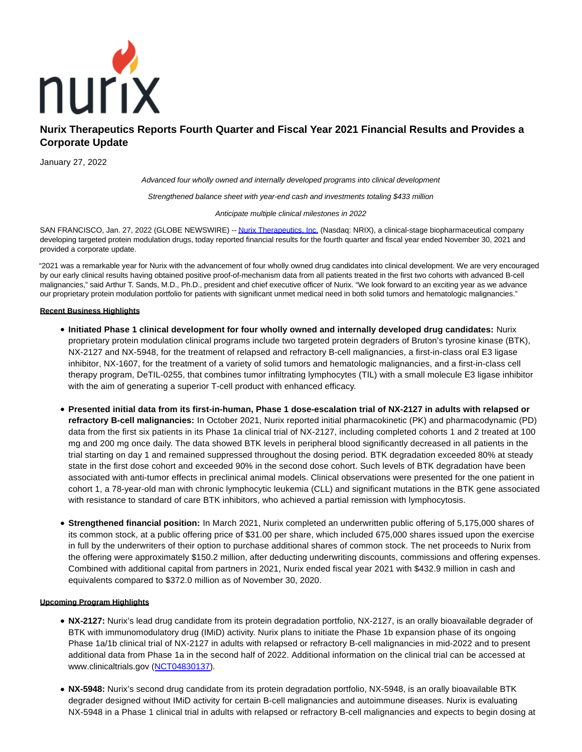

# **Nurix Therapeutics Reports Fourth Quarter and Fiscal Year 2021 Financial Results and Provides a Corporate Update**

January 27, 2022

Advanced four wholly owned and internally developed programs into clinical development

Strengthened balance sheet with year-end cash and investments totaling \$433 million

Anticipate multiple clinical milestones in 2022

SAN FRANCISCO, Jan. 27, 2022 (GLOBE NEWSWIRE) -- [Nurix Therapeutics, Inc. \(](https://www.globenewswire.com/Tracker?data=K6G2hy9Hynzc5CZgUN1-DiV6MhCQaL99F7G3KL89vJMUQrrzOAoI6nTlkiDAqzAyXL7GYPaJTz7K_XC1hcxSO9WjOviyNspSwfm3-y_HkIQ=)Nasdaq: NRIX), a clinical-stage biopharmaceutical company developing targeted protein modulation drugs, today reported financial results for the fourth quarter and fiscal year ended November 30, 2021 and provided a corporate update.

"2021 was a remarkable year for Nurix with the advancement of four wholly owned drug candidates into clinical development. We are very encouraged by our early clinical results having obtained positive proof-of-mechanism data from all patients treated in the first two cohorts with advanced B-cell malignancies," said Arthur T. Sands, M.D., Ph.D., president and chief executive officer of Nurix. "We look forward to an exciting year as we advance our proprietary protein modulation portfolio for patients with significant unmet medical need in both solid tumors and hematologic malignancies."

# **Recent Business Highlights**

- **Initiated Phase 1 clinical development for four wholly owned and internally developed drug candidates:** Nurix proprietary protein modulation clinical programs include two targeted protein degraders of Bruton's tyrosine kinase (BTK), NX-2127 and NX-5948, for the treatment of relapsed and refractory B-cell malignancies, a first-in-class oral E3 ligase inhibitor, NX-1607, for the treatment of a variety of solid tumors and hematologic malignancies, and a first-in-class cell therapy program, DeTIL-0255, that combines tumor infiltrating lymphocytes (TIL) with a small molecule E3 ligase inhibitor with the aim of generating a superior T-cell product with enhanced efficacy.
- **Presented initial data from its first-in-human, Phase 1 dose-escalation trial of NX-2127 in adults with relapsed or refractory B-cell malignancies:** In October 2021, Nurix reported initial pharmacokinetic (PK) and pharmacodynamic (PD) data from the first six patients in its Phase 1a clinical trial of NX-2127, including completed cohorts 1 and 2 treated at 100 mg and 200 mg once daily. The data showed BTK levels in peripheral blood significantly decreased in all patients in the trial starting on day 1 and remained suppressed throughout the dosing period. BTK degradation exceeded 80% at steady state in the first dose cohort and exceeded 90% in the second dose cohort. Such levels of BTK degradation have been associated with anti-tumor effects in preclinical animal models. Clinical observations were presented for the one patient in cohort 1, a 78-year-old man with chronic lymphocytic leukemia (CLL) and significant mutations in the BTK gene associated with resistance to standard of care BTK inhibitors, who achieved a partial remission with lymphocytosis.
- **Strengthened financial position:** In March 2021, Nurix completed an underwritten public offering of 5,175,000 shares of its common stock, at a public offering price of \$31.00 per share, which included 675,000 shares issued upon the exercise in full by the underwriters of their option to purchase additional shares of common stock. The net proceeds to Nurix from the offering were approximately \$150.2 million, after deducting underwriting discounts, commissions and offering expenses. Combined with additional capital from partners in 2021, Nurix ended fiscal year 2021 with \$432.9 million in cash and equivalents compared to \$372.0 million as of November 30, 2020.

# **Upcoming Program Highlights**

- **NX-2127:** Nurix's lead drug candidate from its protein degradation portfolio, NX-2127, is an orally bioavailable degrader of BTK with immunomodulatory drug (IMiD) activity. Nurix plans to initiate the Phase 1b expansion phase of its ongoing Phase 1a/1b clinical trial of NX-2127 in adults with relapsed or refractory B-cell malignancies in mid-2022 and to present additional data from Phase 1a in the second half of 2022. Additional information on the clinical trial can be accessed at www.clinicaltrials.gov [\(NCT04830137\).](https://clinicaltrials.gov/show/NCT04830137)
- **NX-5948:** Nurix's second drug candidate from its protein degradation portfolio, NX-5948, is an orally bioavailable BTK degrader designed without IMiD activity for certain B-cell malignancies and autoimmune diseases. Nurix is evaluating NX-5948 in a Phase 1 clinical trial in adults with relapsed or refractory B-cell malignancies and expects to begin dosing at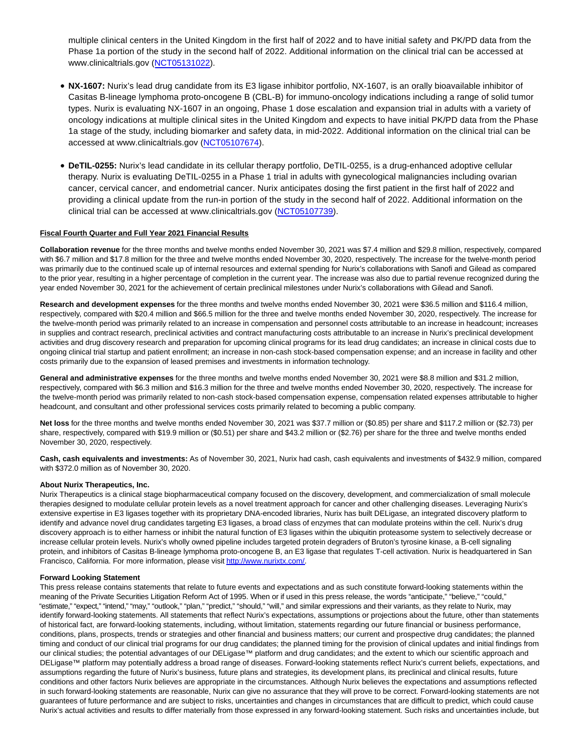multiple clinical centers in the United Kingdom in the first half of 2022 and to have initial safety and PK/PD data from the Phase 1a portion of the study in the second half of 2022. Additional information on the clinical trial can be accessed at www.clinicaltrials.gov [\(NCT05131022\).](https://www.clinicaltrials.gov/ct2/show/NCT05131022?term=nurix&draw=2&rank=2)

- **NX-1607:** Nurix's lead drug candidate from its E3 ligase inhibitor portfolio, NX-1607, is an orally bioavailable inhibitor of Casitas B-lineage lymphoma proto-oncogene B (CBL-B) for immuno-oncology indications including a range of solid tumor types. Nurix is evaluating NX-1607 in an ongoing, Phase 1 dose escalation and expansion trial in adults with a variety of oncology indications at multiple clinical sites in the United Kingdom and expects to have initial PK/PD data from the Phase 1a stage of the study, including biomarker and safety data, in mid-2022. Additional information on the clinical trial can be accessed at www.clinicaltrials.gov [\(NCT05107674\).](https://clinicaltrials.gov/ct2/show/NCT05107674)
- **DeTIL-0255:** Nurix's lead candidate in its cellular therapy portfolio, DeTIL-0255, is a drug-enhanced adoptive cellular therapy. Nurix is evaluating DeTIL-0255 in a Phase 1 trial in adults with gynecological malignancies including ovarian cancer, cervical cancer, and endometrial cancer. Nurix anticipates dosing the first patient in the first half of 2022 and providing a clinical update from the run-in portion of the study in the second half of 2022. Additional information on the clinical trial can be accessed at www.clinicaltrials.gov [\(NCT05107739\).](https://www.clinicaltrials.gov/ct2/show/NCT05107739?term=nurix&draw=2&rank=3)

## **Fiscal Fourth Quarter and Full Year 2021 Financial Results**

**Collaboration revenue** for the three months and twelve months ended November 30, 2021 was \$7.4 million and \$29.8 million, respectively, compared with \$6.7 million and \$17.8 million for the three and twelve months ended November 30, 2020, respectively. The increase for the twelve-month period was primarily due to the continued scale up of internal resources and external spending for Nurix's collaborations with Sanofi and Gilead as compared to the prior year, resulting in a higher percentage of completion in the current year. The increase was also due to partial revenue recognized during the year ended November 30, 2021 for the achievement of certain preclinical milestones under Nurix's collaborations with Gilead and Sanofi.

**Research and development expenses** for the three months and twelve months ended November 30, 2021 were \$36.5 million and \$116.4 million, respectively, compared with \$20.4 million and \$66.5 million for the three and twelve months ended November 30, 2020, respectively. The increase for the twelve-month period was primarily related to an increase in compensation and personnel costs attributable to an increase in headcount; increases in supplies and contract research, preclinical activities and contract manufacturing costs attributable to an increase in Nurix's preclinical development activities and drug discovery research and preparation for upcoming clinical programs for its lead drug candidates; an increase in clinical costs due to ongoing clinical trial startup and patient enrollment; an increase in non-cash stock-based compensation expense; and an increase in facility and other costs primarily due to the expansion of leased premises and investments in information technology.

General and administrative expenses for the three months and twelve months ended November 30, 2021 were \$8.8 million and \$31.2 million, respectively, compared with \$6.3 million and \$16.3 million for the three and twelve months ended November 30, 2020, respectively. The increase for the twelve-month period was primarily related to non-cash stock-based compensation expense, compensation related expenses attributable to higher headcount, and consultant and other professional services costs primarily related to becoming a public company.

**Net loss** for the three months and twelve months ended November 30, 2021 was \$37.7 million or (\$0.85) per share and \$117.2 million or (\$2.73) per share, respectively, compared with \$19.9 million or (\$0.51) per share and \$43.2 million or (\$2.76) per share for the three and twelve months ended November 30, 2020, respectively.

**Cash, cash equivalents and investments:** As of November 30, 2021, Nurix had cash, cash equivalents and investments of \$432.9 million, compared with \$372.0 million as of November 30, 2020.

#### **About Nurix Therapeutics, Inc.**

Nurix Therapeutics is a clinical stage biopharmaceutical company focused on the discovery, development, and commercialization of small molecule therapies designed to modulate cellular protein levels as a novel treatment approach for cancer and other challenging diseases. Leveraging Nurix's extensive expertise in E3 ligases together with its proprietary DNA-encoded libraries, Nurix has built DELigase, an integrated discovery platform to identify and advance novel drug candidates targeting E3 ligases, a broad class of enzymes that can modulate proteins within the cell. Nurix's drug discovery approach is to either harness or inhibit the natural function of E3 ligases within the ubiquitin proteasome system to selectively decrease or increase cellular protein levels. Nurix's wholly owned pipeline includes targeted protein degraders of Bruton's tyrosine kinase, a B-cell signaling protein, and inhibitors of Casitas B-lineage lymphoma proto-oncogene B, an E3 ligase that regulates T-cell activation. Nurix is headquartered in San Francisco, California. For more information, please visi[t http://www.nurixtx.com/.](https://www.globenewswire.com/Tracker?data=zDW7fTHEg3Mxx8-OE1TPZsX-i2Zlkq-f6BInfOy2C4BI_g3q3sOlXw9sD1mS5joHANjomBSSWAijLr-lcSi68oCH016a8vM23SrnLNK_xSo=)

#### **Forward Looking Statement**

This press release contains statements that relate to future events and expectations and as such constitute forward-looking statements within the meaning of the Private Securities Litigation Reform Act of 1995. When or if used in this press release, the words "anticipate," "believe," "could," "estimate," "expect," "intend," "may," "outlook," "plan," "predict," "should," "will," and similar expressions and their variants, as they relate to Nurix, may identify forward-looking statements. All statements that reflect Nurix's expectations, assumptions or projections about the future, other than statements of historical fact, are forward-looking statements, including, without limitation, statements regarding our future financial or business performance, conditions, plans, prospects, trends or strategies and other financial and business matters; our current and prospective drug candidates; the planned timing and conduct of our clinical trial programs for our drug candidates; the planned timing for the provision of clinical updates and initial findings from our clinical studies; the potential advantages of our DELigase™ platform and drug candidates; and the extent to which our scientific approach and DELigase™ platform may potentially address a broad range of diseases. Forward-looking statements reflect Nurix's current beliefs, expectations, and assumptions regarding the future of Nurix's business, future plans and strategies, its development plans, its preclinical and clinical results, future conditions and other factors Nurix believes are appropriate in the circumstances. Although Nurix believes the expectations and assumptions reflected in such forward-looking statements are reasonable, Nurix can give no assurance that they will prove to be correct. Forward-looking statements are not guarantees of future performance and are subject to risks, uncertainties and changes in circumstances that are difficult to predict, which could cause Nurix's actual activities and results to differ materially from those expressed in any forward-looking statement. Such risks and uncertainties include, but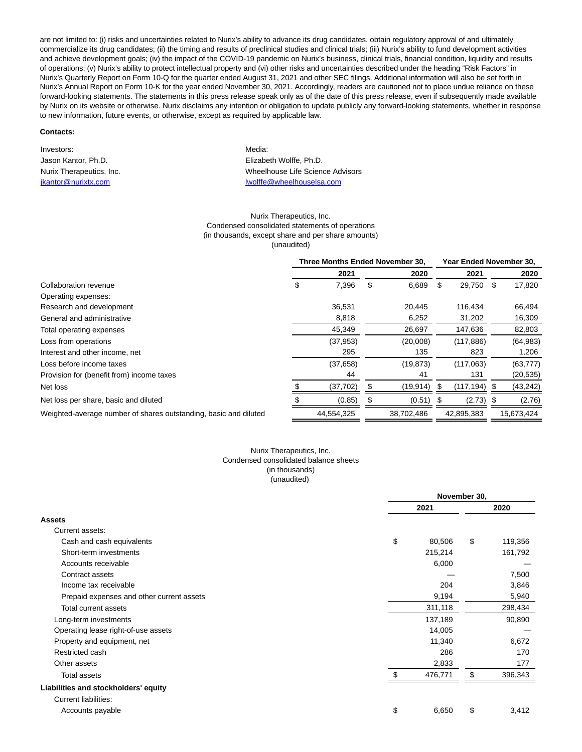are not limited to: (i) risks and uncertainties related to Nurix's ability to advance its drug candidates, obtain regulatory approval of and ultimately commercialize its drug candidates; (ii) the timing and results of preclinical studies and clinical trials; (iii) Nurix's ability to fund development activities and achieve development goals; (iv) the impact of the COVID-19 pandemic on Nurix's business, clinical trials, financial condition, liquidity and results of operations; (v) Nurix's ability to protect intellectual property and (vi) other risks and uncertainties described under the heading "Risk Factors" in Nurix's Quarterly Report on Form 10-Q for the quarter ended August 31, 2021 and other SEC filings. Additional information will also be set forth in Nurix's Annual Report on Form 10-K for the year ended November 30, 2021. Accordingly, readers are cautioned not to place undue reliance on these forward-looking statements. The statements in this press release speak only as of the date of this press release, even if subsequently made available by Nurix on its website or otherwise. Nurix disclaims any intention or obligation to update publicly any forward-looking statements, whether in response to new information, future events, or otherwise, except as required by applicable law.

#### **Contacts:**

Investors: Media: Network: Media: Network: Media: Network: Media: Network: Network: Network: Network: Network: Network: Network: Network: Network: Network: Network: Network: Network: Network: Network: Network: Network: Net Jason Kantor, Ph.D. Elizabeth Wolffe, Ph.D.

# Nurix Therapeutics, Inc. Wheelhouse Life Science Advisors [jkantor@nurixtx.com](mailto:jkantor@nurixtx.com) is a state of the late of the late of the late of the late of the late of the late of the late of the late of the late of the late of the late of the late of the late of the late of the late of the late

### Nurix Therapeutics, Inc. Condensed consolidated statements of operations (in thousands, except share and per share amounts) (unaudited)

|                                                                  | Three Months Ended November 30. |            |    |            | Year Ended November 30. |            |  |            |
|------------------------------------------------------------------|---------------------------------|------------|----|------------|-------------------------|------------|--|------------|
|                                                                  |                                 | 2021       |    | 2020       |                         | 2021       |  | 2020       |
| Collaboration revenue                                            | \$                              | 7,396      | \$ | 6,689      | \$                      | 29,750 \$  |  | 17,820     |
| Operating expenses:                                              |                                 |            |    |            |                         |            |  |            |
| Research and development                                         |                                 | 36,531     |    | 20.445     |                         | 116.434    |  | 66,494     |
| General and administrative                                       |                                 | 8,818      |    | 6,252      |                         | 31,202     |  | 16,309     |
| Total operating expenses                                         |                                 | 45.349     |    | 26.697     |                         | 147.636    |  | 82,803     |
| Loss from operations                                             |                                 | (37, 953)  |    | (20,008)   |                         | (117, 886) |  | (64, 983)  |
| Interest and other income, net                                   |                                 | 295        |    | 135        |                         | 823        |  | 1,206      |
| Loss before income taxes                                         |                                 | (37,658)   |    | (19, 873)  |                         | (117,063)  |  | (63, 777)  |
| Provision for (benefit from) income taxes                        |                                 | 44         |    | 41         |                         | 131        |  | (20, 535)  |
| Net loss                                                         |                                 | (37, 702)  |    | (19,914)   |                         | (117, 194) |  | (43, 242)  |
| Net loss per share, basic and diluted                            |                                 | (0.85)     |    | (0.51)     |                         | (2.73)     |  | (2.76)     |
| Weighted-average number of shares outstanding, basic and diluted |                                 | 44.554.325 |    | 38.702.486 |                         | 42.895.383 |  | 15.673.424 |

#### Nurix Therapeutics, Inc. Condensed consolidated balance sheets (in thousands) (unaudited)

|                                           | November 30, |    |         |  |
|-------------------------------------------|--------------|----|---------|--|
|                                           | 2021         |    | 2020    |  |
| <b>Assets</b>                             |              |    |         |  |
| Current assets:                           |              |    |         |  |
| Cash and cash equivalents                 | \$<br>80,506 | \$ | 119,356 |  |
| Short-term investments                    | 215,214      |    | 161,792 |  |
| Accounts receivable                       | 6,000        |    |         |  |
| Contract assets                           |              |    | 7,500   |  |
| Income tax receivable                     | 204          |    | 3,846   |  |
| Prepaid expenses and other current assets | 9,194        |    | 5,940   |  |
| Total current assets                      | 311,118      |    | 298,434 |  |
| Long-term investments                     | 137,189      |    | 90,890  |  |
| Operating lease right-of-use assets       | 14,005       |    |         |  |
| Property and equipment, net               | 11,340       |    | 6,672   |  |
| Restricted cash                           | 286          |    | 170     |  |
| Other assets                              | 2,833        |    | 177     |  |
| <b>Total assets</b>                       | 476,771      | \$ | 396,343 |  |
| Liabilities and stockholders' equity      |              |    |         |  |
| <b>Current liabilities:</b>               |              |    |         |  |
| Accounts payable                          | \$<br>6,650  | \$ | 3,412   |  |